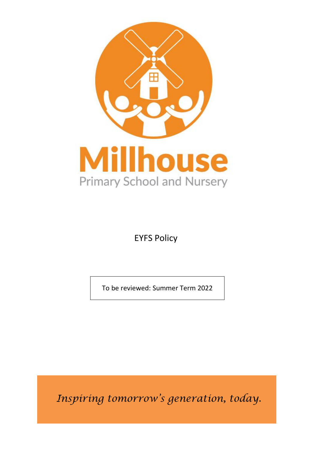

EYFS Policy

To be reviewed: Summer Term 2022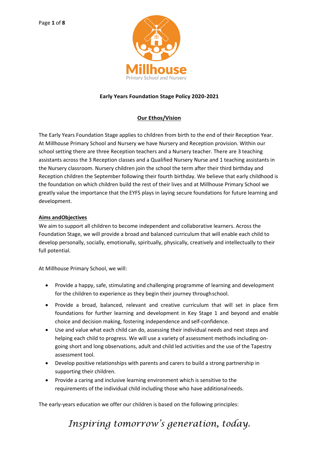

#### **Early Years Foundation Stage Policy 2020-2021**

### **Our Ethos/Vision**

The Early Years Foundation Stage applies to children from birth to the end of their Reception Year. At Millhouse Primary School and Nursery we have Nursery and Reception provision. Within our school setting there are three Reception teachers and a Nursery teacher. There are 3 teaching assistants across the 3 Reception classes and a Qualified Nursery Nurse and 1 teaching assistants in the Nursery classroom. Nursery children join the school the term after their third birthday and Reception children the September following their fourth birthday. We believe that early childhood is the foundation on which children build the rest of their lives and at Millhouse Primary School we greatly value the importance that the EYFS plays in laying secure foundations for future learning and development.

#### **Aims andObjectives**

We aim to support all children to become independent and collaborative learners. Across the Foundation Stage, we will provide a broad and balanced curriculum that will enable each child to develop personally, socially, emotionally, spiritually, physically, creatively and intellectually to their full potential.

At Millhouse Primary School, we will:

- Provide a happy, safe, stimulating and challenging programme of learning and development for the children to experience as they begin their journey throughschool.
- Provide a broad, balanced, relevant and creative curriculum that will set in place firm foundations for further learning and development in Key Stage 1 and beyond and enable choice and decision making, fostering independence and self-confidence.
- Use and value what each child can do, assessing their individual needs and next steps and helping each child to progress. We will use a variety of assessment methods including ongoing short and long observations, adult and child led activities and the use of the Tapestry assessment tool.
- Develop positive relationships with parents and carers to build a strong partnership in supporting their children.
- Provide a caring and inclusive learning environment which is sensitive to the requirements of the individual child including those who have additionalneeds.

The early-years education we offer our children is based on the following principles: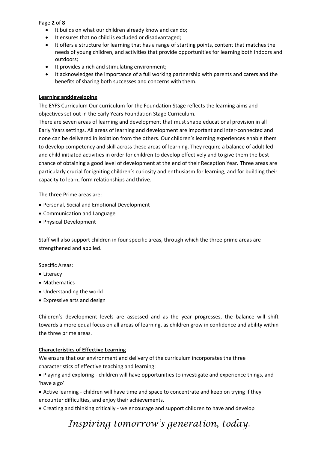Page **2** of **8**

- It builds on what our children already know and can do;
- It ensures that no child is excluded or disadvantaged;
- It offers a structure for learning that has a range of starting points, content that matches the needs of young children, and activities that provide opportunities for learning both indoors and outdoors;
- It provides a rich and stimulating environment;
- It acknowledges the importance of a full working partnership with parents and carers and the benefits of sharing both successes and concerns with them.

#### **Learning anddeveloping**

The EYFS Curriculum Our curriculum for the Foundation Stage reflects the learning aims and objectives set out in the Early Years Foundation Stage Curriculum.

There are seven areas of learning and development that must shape educational provision in all Early Years settings. All areas of learning and development are important and inter-connected and none can be delivered in isolation from the others. Our children's learning experiences enable them to develop competency and skill across these areas of learning. They require a balance of adult led and child initiated activities in order for children to develop effectively and to give them the best chance of obtaining a good level of development at the end of their Reception Year. Three areas are particularly crucial for igniting children's curiosity and enthusiasm for learning, and for building their capacity to learn, form relationships and thrive.

The three Prime areas are:

- Personal, Social and Emotional Development
- Communication and Language
- Physical Development

Staff will also support children in four specific areas, through which the three prime areas are strengthened and applied.

Specific Areas:

- Literacy
- Mathematics
- Understanding the world
- Expressive arts and design

Children's development levels are assessed and as the year progresses, the balance will shift towards a more equal focus on all areas of learning, as children grow in confidence and ability within the three prime areas.

#### **Characteristics of Effective Learning**

We ensure that our environment and delivery of the curriculum incorporates the three characteristics of effective teaching and learning:

• Playing and exploring - children will have opportunities to investigate and experience things, and 'have a go'.

• Active learning - children will have time and space to concentrate and keep on trying if they encounter difficulties, and enjoy their achievements.

• Creating and thinking critically - we encourage and support children to have and develop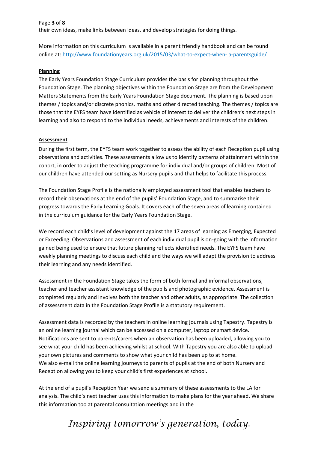Page **3** of **8**

their own ideas, make links between ideas, and develop strategies for doing things.

More information on this curriculum is available in a parent friendly handbook and can be found online at:<http://www.foundationyears.org.uk/2015/03/what-to-expect-when-> a-parentsguide/

#### **Planning**

The Early Years Foundation Stage Curriculum provides the basis for planning throughout the Foundation Stage. The planning objectives within the Foundation Stage are from the Development Matters Statements from the Early Years Foundation Stage document. The planning is based upon themes / topics and/or discrete phonics, maths and other directed teaching. The themes / topics are those that the EYFS team have identified as vehicle of interest to deliver the children's next steps in learning and also to respond to the individual needs, achievements and interests of the children.

#### **Assessment**

During the first term, the EYFS team work together to assess the ability of each Reception pupil using observations and activities. These assessments allow us to identify patterns of attainment within the cohort, in order to adjust the teaching programme for individual and/or groups of children. Most of our children have attended our setting as Nursery pupils and that helps to facilitate this process.

The Foundation Stage Profile is the nationally employed assessment tool that enables teachers to record their observations at the end of the pupils' Foundation Stage, and to summarise their progress towards the Early Learning Goals. It covers each of the seven areas of learning contained in the curriculum guidance for the Early Years Foundation Stage.

We record each child's level of development against the 17 areas of learning as Emerging, Expected or Exceeding. Observations and assessment of each individual pupil is on-going with the information gained being used to ensure that future planning reflects identified needs. The EYFS team have weekly planning meetings to discuss each child and the ways we will adapt the provision to address their learning and any needs identified.

Assessment in the Foundation Stage takes the form of both formal and informal observations, teacher and teacher assistant knowledge of the pupils and photographic evidence. Assessment is completed regularly and involves both the teacher and other adults, as appropriate. The collection of assessment data in the Foundation Stage Profile is a statutory requirement.

Assessment data is recorded by the teachers in online learning journals using Tapestry. Tapestry is an online learning journal which can be accessed on a computer, laptop or smart device. Notifications are sent to parents/carers when an observation has been uploaded, allowing you to see what your child has been achieving whilst at school. With Tapestry you are also able to upload your own pictures and comments to show what your child has been up to at home. We also e-mail the online learning journeys to parents of pupils at the end of both Nursery and Reception allowing you to keep your child's first experiences at school.

At the end of a pupil's Reception Year we send a summary of these assessments to the LA for analysis. The child's next teacher uses this information to make plans for the year ahead. We share this information too at parental consultation meetings and in the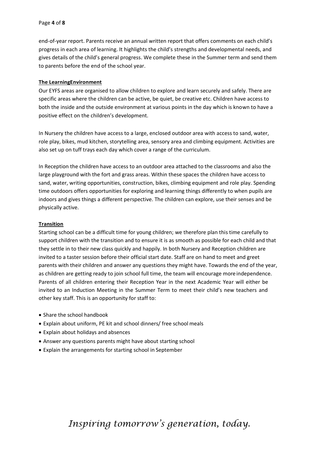end-of-year report. Parents receive an annual written report that offers comments on each child's progress in each area of learning. It highlights the child's strengths and developmental needs, and gives details of the child's general progress. We complete these in the Summer term and send them to parents before the end of the school year.

#### **The LearningEnvironment**

Our EYFS areas are organised to allow children to explore and learn securely and safely. There are specific areas where the children can be active, be quiet, be creative etc. Children have access to both the inside and the outside environment at various points in the day which is known to have a positive effect on the children's development.

In Nursery the children have access to a large, enclosed outdoor area with access to sand, water, role play, bikes, mud kitchen, storytelling area, sensory area and climbing equipment. Activities are also set up on tuff trays each day which cover a range of the curriculum.

In Reception the children have access to an outdoor area attached to the classrooms and also the large playground with the fort and grass areas. Within these spaces the children have access to sand, water, writing opportunities, construction, bikes, climbing equipment and role play. Spending time outdoors offers opportunities for exploring and learning things differently to when pupils are indoors and gives things a different perspective. The children can explore, use their senses and be physically active.

#### **Transition**

Starting school can be a difficult time for young children; we therefore plan this time carefully to support children with the transition and to ensure it is as smooth as possible for each child and that they settle in to their new class quickly and happily. In both Nursery and Reception children are invited to a taster session before their official start date. Staff are on hand to meet and greet parents with their children and answer any questions they might have. Towards the end of the year, as children are getting ready to join school full time, the team will encourage moreindependence. Parents of all children entering their Reception Year in the next Academic Year will either be invited to an Induction Meeting in the Summer Term to meet their child's new teachers and other key staff. This is an opportunity for staff to:

- Share the school handbook
- Explain about uniform, PE kit and school dinners/ free school meals
- Explain about holidays and absences
- Answer any questions parents might have about starting school
- Explain the arrangements for starting school in September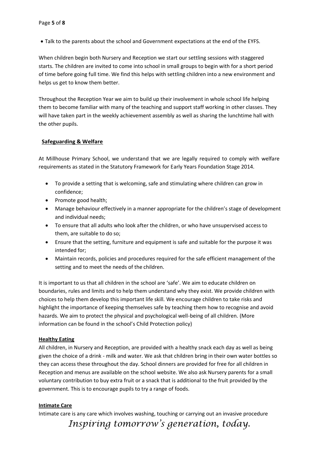• Talk to the parents about the school and Government expectations at the end of the EYFS.

When children begin both Nursery and Reception we start our settling sessions with staggered starts. The children are invited to come into school in small groups to begin with for a short period of time before going full time. We find this helps with settling children into a new environment and helps us get to know them better.

Throughout the Reception Year we aim to build up their involvement in whole school life helping them to become familiar with many of the teaching and support staff working in other classes. They will have taken part in the weekly achievement assembly as well as sharing the lunchtime hall with the other pupils.

#### **Safeguarding & Welfare**

At Millhouse Primary School, we understand that we are legally required to comply with welfare requirements as stated in the Statutory Framework for Early Years Foundation Stage 2014.

- To provide a setting that is welcoming, safe and stimulating where children can grow in confidence;
- Promote good health;
- Manage behaviour effectively in a manner appropriate for the children's stage of development and individual needs;
- To ensure that all adults who look after the children, or who have unsupervised access to them, are suitable to do so;
- Ensure that the setting, furniture and equipment is safe and suitable for the purpose it was intended for;
- Maintain records, policies and procedures required for the safe efficient management of the setting and to meet the needs of the children.

It is important to us that all children in the school are 'safe'. We aim to educate children on boundaries, rules and limits and to help them understand why they exist. We provide children with choices to help them develop this important life skill. We encourage children to take risks and highlight the importance of keeping themselves safe by teaching them how to recognise and avoid hazards. We aim to protect the physical and psychological well-being of all children. (More information can be found in the school's Child Protection policy)

#### **Healthy Eating**

All children, in Nursery and Reception, are provided with a healthy snack each day as well as being given the choice of a drink - milk and water. We ask that children bring in their own water bottles so they can access these throughout the day. School dinners are provided for free for all children in Reception and menus are available on the school website. We also ask Nursery parents for a small voluntary contribution to buy extra fruit or a snack that is additional to the fruit provided by the government. This is to encourage pupils to try a range of foods.

### **Intimate Care**

Intimate care is any care which involves washing, touching or carrying out an invasive procedure